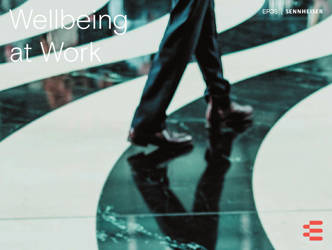# Wellbeing at Work

EPOS | SENNHEISER

Ξ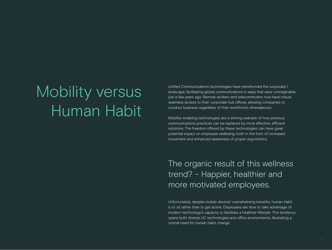# Mobility versus Human Habit

Unified Communications technologies have transformed the corporate l andscape, facilitating global communications in ways that were unimaginable just a few years ago. Remote workers and telecommuters now have robust, seamless access to their corporate hub offices, allowing companies to conduct business regardless of their workforce's whereabouts.

Mobility-enabling technologies are a shining example of how previous communications practices can be replaced by more effective, efficient solutions. The freedom offered by these technologies can have great potential impact on employee wellbeing, both in the form of increased movement and enhanced awareness of proper ergonomics.

The organic result of this wellness trend? – Happier, healthier and more motivated employees.

Unfortunately, despite mobile devices' overwhelming benefits, human habit is to sit rather than to get active. Employees are slow to take advantage of modern technology's capacity to facilitate a healthier lifestyle. This tendency spans both diverse UC technologies and office environments, illustrating a critical need for human habit change.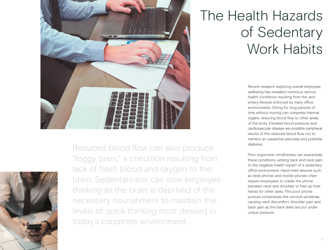



Reduced blood flow can also produce "foggy brain," a condition resulting from lack of fresh blood and oxygen to the brain. Sedentariness can slow employee thinking as the brain is deprived of the necessary nourishment to maintain the levels of quick thinking most desired in today's corporate environment.

# The Health Hazards of Sedentary Work Habits

Recent research exploring overall employee wellbeing has revealed numerous serious health conditions resulting from the sedentary lifestyle enforced by many office environments. Sitting for long periods of time without moving can compress internal organs, reducing blood flow to other areas of the body. Elevated blood pressure and cardiovascular disease are possible peripheral results of this reduced blood flow, not to mention an overactive pancreas and potential diabetes.

Poor ergonomic mindfulness can exacerbate these conditions, adding back and neck pain to the negative health impact of a sedentary office environment. Hand-held devices such as desk phones and mobile phones often require employees to cradle the phone between neck and shoulder to free up their hands for other tasks. This poor phone posture compresses the cervical vertebrae, causing neck discomfort, shoulder pain and back pain as the back disks are put under undue pressure.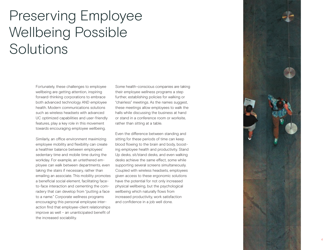# Preserving Employee Wellbeing Possible Solutions

Fortunately, these challenges to employee wellbeing are getting attention, inspiring forward-thinking corporations to embrace both advanced technology AND employee health. Modern communications solutions such as wireless headsets with advanced UC optimized capabilities and user-friendly features, play a key role in this movement towards encouraging employee wellbeing.

Similarly, an office environment maximizing employee mobility and flexibility can create a healthier balance between employees' sedentary time and mobile time during the workday. For example, an untethered em ployee can walk between departments, even taking the stairs if necessary, rather than emailing an associate. This mobility promotes a beneficial social element, facilitating faceto-face interaction and cementing the comradery that can develop from "putting a face to a name." Corporate wellness programs encouraging this personal employee inter action find that employee-client relationships improve as well – an unanticipated benefit of the increased sociability.

Some health-conscious companies are taking their employee wellness programs a step further, establishing policies for walking or "chairless" meetings. As the names suggest, these meetings allow employees to walk the halls while discussing the business at hand or stand in a conference room or worksite, rather than sitting at a table.

Even the difference between standing and sitting for these periods of time can keep blood flowing to the brain and body, boost ing employee health and productivity. Stand Up desks, sit/stand desks, and even walking desks achieve the same effect, some while supporting several screens simultaneously. Coupled with wireless headsets, employees given access to these ergonomic solutions have the potential for not only increased physical wellbeing, but the psychological wellbeing which naturally flows from increased productivity, work satisfaction and confidence in a job well done.

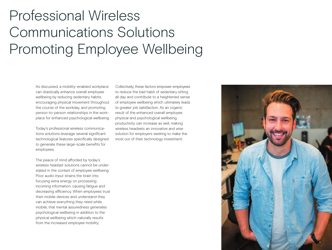# Professional Wireless Communications Solutions Promoting Employee Wellbeing

As discussed, a mobility-enabled workplace can drastically enhance overall employee wellbeing by reducing sedentary habits, encouraging physical movement throughout the course of the workday, and promoting person-to-person relationships in the workplace for enhanced psychological wellbeing.

Today's professional wireless communications solutions leverage several significant technological features specifically designed to generate these large-scale benefits for employees.

The peace of mind afforded by today's wireless headset solutions cannot be understated in the context of employee wellbeing. Poor audio input strains the brain into focusing extra energy on processing incoming information, causing fatigue and decreasing efficiency. When employees trust their mobile devices and understand they can achieve everything they need while mobile, that mental assuredness generates psychological wellbeing in addition to the physical wellbeing which naturally results from the increased employee mobility.

Collectively, these factors empower employees to reduce the bad habit of sedentary sitting all day and contribute to a heightened sense of employee wellbeing which ultimately leads to greater job satisfaction. As an organic result of the enhanced overall employee physical and psychological wellbeing, productivity can increase as well, making wireless headsets an innovative and wise solution for employers seeking to make the most out of their technology investment.

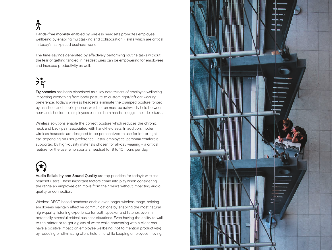$\tilde{\mathcal{R}}$ 

Hands-free mobility enabled by wireless headsets promotes employee wellbeing by enabling multitasking and collaboration - skills which are critical in today's fast-paced business world.

The time-savings generated by effectively performing routine tasks without the fear of getting tangled in headset wires can be empowering for employees and increase productivity as well.

### $\frac{1}{2}$

Ergonomics has been pinpointed as a key determinant of employee wellbeing, impacting everything from body posture to custom right/left ear wearing preference. Today's wireless headsets eliminate the cramped posture forced by handsets and mobile phones, which often must be awkwardly held between neck and shoulder so employees can use both hands to juggle their desk tasks.

Wireless solutions enable the correct posture which reduces the chronic neck and back pain associated with hand-held sets. In addition, modern wireless headsets are designed to be personalized to use for left or right ear, depending on user preference. Lastly, employees' personal comfort is supported by high-quality materials chosen for all-day wearing – a critical feature for the user who sports a headset for 8 to 10 hours per day.

Audio Reliability and Sound Quality are top priorities for today's wireless headset users. These important factors come into play when considering the range an employee can move from their desks without impacting audio quality or connection.

Wireless DECT-based headsets enable ever longer wireless range, helping employees maintain effective communications by enabling the most natural, high-quality listening experience for both speaker and listener, even in potentially stressful critical business situations. Even having the ability to walk to the printer or to get a glass of water while conversing with a client can have a positive impact on employee wellbeing (not to mention productivity) by reducing or eliminating client hold time while keeping employees moving.

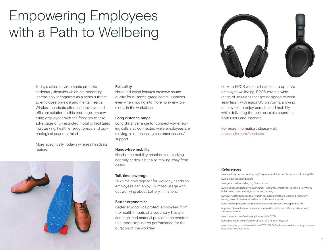# Empowering Employees with a Path to Wellbeing

Today's office environments promote sedentary lifestyles which are becoming increasingly recognized as a serious threat to employee physical and mental health. Wireless headsets offer an innovative and efficient solution to this challenge, empowering employees with the freedom to take advantage of unrestricted mobility, facilitated multitasking, healthier ergonomics and psychological peace of mind.

More specifically, today's wireless headsets feature:



#### Reliability

Noise reduction features preserve sound quality for business-grade communications, even when moving into more noisy environments in the workplace.

#### Long distance range

Long distance range for connectivity, ensuring calls stay connected while employees are moving, also enhancing customer service/ support.

#### Hands-free mobility

Hands-free mobility enables multi-tasking not only at desks but also moving away from desks.

#### Talk time coverage

Talk time coverage for full workday needs so employees can enjoy unlimited usage without worrying about battery limitations.

#### Better ergonomics

Better ergonomics protect employees from the health threats of a sedentary lifestyle and high-end material provides the comfort to support top-notch performance for the duration of the workday.



Look to EPOS wireless headsets to optimize employee wellbeing. EPOS offers a wide range of solutions that are designed to work seamlessly with major UC platforms, allowing employees to enjoy unrestrained mobility while delivering the best possible sound for both users and listeners.

For more information, please visit: eposaudio.com/headsets

#### References

www.washingtonpost.com/apps/g/page/national/the-health-hazards-of-sitting/750 www.getaustraliastanding.org www.getaustraliastanding.org/introduction www.businessandindustry.co.uk/human-resources/employee-wellbeing-kcimf/whybritain-needs-to-campaign-for-active-working www.businessandindustry.co.uk/human-resources/employee-wellbeing-kcimf/whytackling-musculoskeletal-disorders-must-become-a-priority www.tk.de/tk/pressemitteilungen/bundesweite-pressemitteilungen/820296 http://en-uk.sennheiser.com/news-increased-mobility-for-office-workers-couldliterally-save-lives www.thelancet.com/series/physical-activity-2016 www.cheatsheet.com/life/side-effects-of-sitting-all-day.html www.bloomberg.com/news/articles/2017-05-01/wall-street-wellness-programs-arenow-used-to-drive-sales